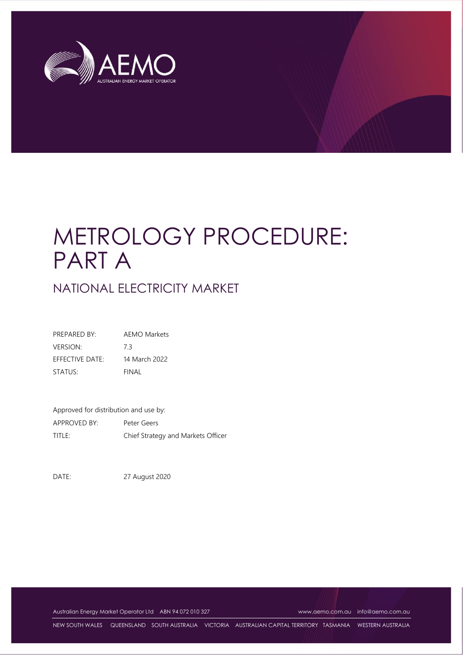

# METROLOGY PROCEDURE: PART A

# NATIONAL ELECTRICITY MARKET

| PRFPARFD BY:    | AEMO Markets  |
|-----------------|---------------|
| <b>VERSION:</b> | 73            |
| EFFECTIVE DATE: | 14 March 2022 |
| STATUS:         | FINAL         |

Approved for distribution and use by: APPROVED BY: Peter Geers TITLE: Chief Strategy and Markets Officer

DATE: 27 August 2020

Australian Energy Market Operator Ltd ABN 94 072 010 327 [www.aemo.com.au](http://www.aemo.com.au/) [info@aemo.com.au](mailto:info@aemo.com.au)

NEW SOUTH WALES QUEENSLAND SOUTH AUSTRALIA VICTORIA AUSTRALIAN CAPITAL TERRITORY TASMANIA WESTERN AUSTRALIA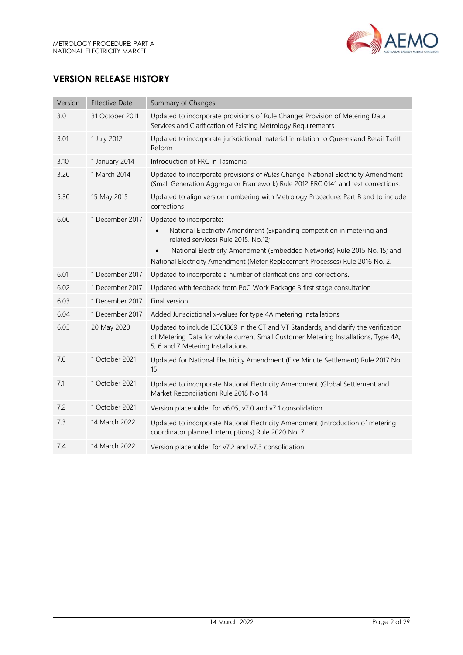

# **VERSION RELEASE HISTORY**

| Version | <b>Effective Date</b> | Summary of Changes                                                                                                                                                                                                                                                                                   |
|---------|-----------------------|------------------------------------------------------------------------------------------------------------------------------------------------------------------------------------------------------------------------------------------------------------------------------------------------------|
| 3.0     | 31 October 2011       | Updated to incorporate provisions of Rule Change: Provision of Metering Data<br>Services and Clarification of Existing Metrology Requirements.                                                                                                                                                       |
| 3.01    | 1 July 2012           | Updated to incorporate jurisdictional material in relation to Queensland Retail Tariff<br>Reform                                                                                                                                                                                                     |
| 3.10    | 1 January 2014        | Introduction of FRC in Tasmania                                                                                                                                                                                                                                                                      |
| 3.20    | 1 March 2014          | Updated to incorporate provisions of Rules Change: National Electricity Amendment<br>(Small Generation Aggregator Framework) Rule 2012 ERC 0141 and text corrections.                                                                                                                                |
| 5.30    | 15 May 2015           | Updated to align version numbering with Metrology Procedure: Part B and to include<br>corrections                                                                                                                                                                                                    |
| 6.00    | 1 December 2017       | Updated to incorporate:<br>National Electricity Amendment (Expanding competition in metering and<br>related services) Rule 2015. No.12;<br>National Electricity Amendment (Embedded Networks) Rule 2015 No. 15; and<br>National Electricity Amendment (Meter Replacement Processes) Rule 2016 No. 2. |
| 6.01    | 1 December 2017       | Updated to incorporate a number of clarifications and corrections                                                                                                                                                                                                                                    |
| 6.02    | 1 December 2017       | Updated with feedback from PoC Work Package 3 first stage consultation                                                                                                                                                                                                                               |
| 6.03    | 1 December 2017       | Final version.                                                                                                                                                                                                                                                                                       |
| 6.04    | 1 December 2017       | Added Jurisdictional x-values for type 4A metering installations                                                                                                                                                                                                                                     |
| 6.05    | 20 May 2020           | Updated to include IEC61869 in the CT and VT Standards, and clarify the verification<br>of Metering Data for whole current Small Customer Metering Installations, Type 4A,<br>5, 6 and 7 Metering Installations.                                                                                     |
| 7.0     | 1 October 2021        | Updated for National Electricity Amendment (Five Minute Settlement) Rule 2017 No.<br>15                                                                                                                                                                                                              |
| 7.1     | 1 October 2021        | Updated to incorporate National Electricity Amendment (Global Settlement and<br>Market Reconciliation) Rule 2018 No 14                                                                                                                                                                               |
| 7.2     | 1 October 2021        | Version placeholder for v6.05, v7.0 and v7.1 consolidation                                                                                                                                                                                                                                           |
| 7.3     | 14 March 2022         | Updated to incorporate National Electricity Amendment (Introduction of metering<br>coordinator planned interruptions) Rule 2020 No. 7.                                                                                                                                                               |
| 7.4     | 14 March 2022         | Version placeholder for v7.2 and v7.3 consolidation                                                                                                                                                                                                                                                  |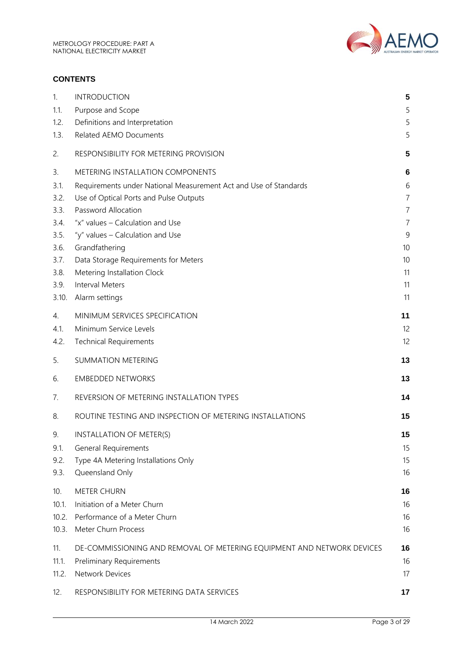

#### **CONTENTS**

| 1.           | <b>INTRODUCTION</b>                                                    | 5              |
|--------------|------------------------------------------------------------------------|----------------|
| 1.1.         | Purpose and Scope                                                      | 5              |
| 1.2.         | Definitions and Interpretation                                         | 5              |
| 1.3.         | Related AEMO Documents                                                 | 5              |
| 2.           | RESPONSIBILITY FOR METERING PROVISION                                  | 5              |
| 3.           | METERING INSTALLATION COMPONENTS                                       | 6              |
| 3.1.         | Requirements under National Measurement Act and Use of Standards       | 6              |
| 3.2.         | Use of Optical Ports and Pulse Outputs                                 | $\overline{7}$ |
| 3.3.         | Password Allocation                                                    | $\overline{7}$ |
| 3.4.         | "x" values - Calculation and Use                                       | 7              |
| 3.5.         | "y" values - Calculation and Use                                       | 9              |
| 3.6.         | Grandfathering                                                         | 10             |
| 3.7.<br>3.8. | Data Storage Requirements for Meters                                   | 10<br>11       |
| 3.9.         | Metering Installation Clock<br><b>Interval Meters</b>                  | 11             |
| 3.10.        | Alarm settings                                                         | 11             |
|              |                                                                        |                |
| 4.           | MINIMUM SERVICES SPECIFICATION                                         | 11             |
| 4.1.         | Minimum Service Levels                                                 | 12             |
| 4.2.         | <b>Technical Requirements</b>                                          | 12             |
| 5.           | <b>SUMMATION METERING</b>                                              | 13             |
| 6.           | <b>EMBEDDED NETWORKS</b>                                               | 13             |
| 7.           | REVERSION OF METERING INSTALLATION TYPES                               | 14             |
| 8.           | ROUTINE TESTING AND INSPECTION OF METERING INSTALLATIONS               | 15             |
| 9.           | INSTALLATION OF METER(S)                                               | 15             |
| 9.1.         | <b>General Requirements</b>                                            | 15             |
| 9.2.         | Type 4A Metering Installations Only                                    | 15             |
| 9.3.         | Queensland Only                                                        | 16             |
| 10.          | <b>METER CHURN</b>                                                     | 16             |
| 10.1.        | Initiation of a Meter Churn                                            | 16             |
| 10.2.        | Performance of a Meter Churn                                           | 16             |
| 10.3.        | Meter Churn Process                                                    | 16             |
| 11.          | DE-COMMISSIONING AND REMOVAL OF METERING EQUIPMENT AND NETWORK DEVICES | 16             |
| 11.1.        | <b>Preliminary Requirements</b>                                        | 16             |
| 11.2.        | <b>Network Devices</b>                                                 | 17             |
|              |                                                                        |                |
| 12.          | RESPONSIBILITY FOR METERING DATA SERVICES                              | 17             |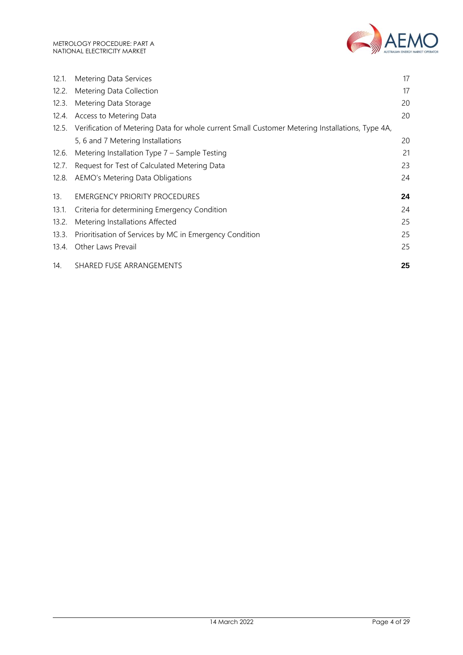

| 12.1. | Metering Data Services                                                                          | 17 |
|-------|-------------------------------------------------------------------------------------------------|----|
| 12.2. | Metering Data Collection                                                                        | 17 |
| 12.3. | Metering Data Storage                                                                           | 20 |
| 12.4. | Access to Metering Data                                                                         | 20 |
| 12.5. | Verification of Metering Data for whole current Small Customer Metering Installations, Type 4A, |    |
|       | 5, 6 and 7 Metering Installations                                                               | 20 |
| 12.6. | Metering Installation Type 7 - Sample Testing                                                   | 21 |
| 12.7. | Request for Test of Calculated Metering Data                                                    | 23 |
| 12.8. | AEMO's Metering Data Obligations                                                                | 24 |
| 13.   | <b>EMERGENCY PRIORITY PROCEDURES</b>                                                            | 24 |
| 13.1. | Criteria for determining Emergency Condition                                                    | 24 |
| 13.2. | Metering Installations Affected                                                                 | 25 |
| 13.3. | Prioritisation of Services by MC in Emergency Condition                                         | 25 |
| 13.4. | Other Laws Prevail                                                                              | 25 |
| 14.   | SHARED FUSE ARRANGEMENTS                                                                        | 25 |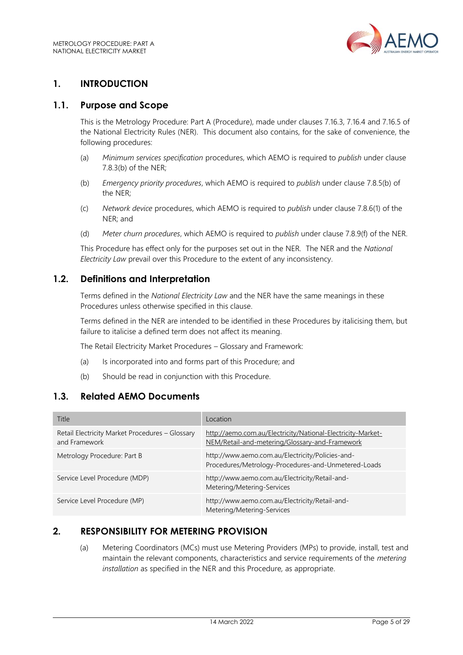

# <span id="page-4-0"></span>**1. INTRODUCTION**

#### <span id="page-4-1"></span>**1.1. Purpose and Scope**

This is the Metrology Procedure: Part A (Procedure), made under clauses 7.16.3, 7.16.4 and 7.16.5 of the National Electricity Rules (NER). This document also contains, for the sake of convenience, the following procedures:

- (a) *Minimum services specification* procedures, which AEMO is required to *publish* under clause 7.8.3(b) of the NER;
- (b) *Emergency priority procedures*, which AEMO is required to *publish* under clause 7.8.5(b) of the NER;
- (c) *Network device* procedures, which AEMO is required to *publish* under clause 7.8.6(1) of the NER; and
- (d) *Meter churn procedures*, which AEMO is required to *publish* under clause 7.8.9(f) of the NER.

This Procedure has effect only for the purposes set out in the NER. The NER and the *National Electricity Law* prevail over this Procedure to the extent of any inconsistency.

#### <span id="page-4-2"></span>**1.2. Definitions and Interpretation**

Terms defined in the *National Electricity Law* and the NER have the same meanings in these Procedures unless otherwise specified in this clause.

Terms defined in the NER are intended to be identified in these Procedures by italicising them, but failure to italicise a defined term does not affect its meaning.

The Retail Electricity Market Procedures – Glossary and Framework:

- (a) Is incorporated into and forms part of this Procedure; and
- (b) Should be read in conjunction with this Procedure.

# <span id="page-4-3"></span>**1.3. Related AEMO Documents**

| Title                                                            | Location                                                                                                      |
|------------------------------------------------------------------|---------------------------------------------------------------------------------------------------------------|
| Retail Electricity Market Procedures - Glossary<br>and Framework | http://aemo.com.au/Electricity/National-Electricity-Market-<br>NEM/Retail-and-metering/Glossary-and-Framework |
| Metrology Procedure: Part B                                      | http://www.aemo.com.au/Electricity/Policies-and-<br>Procedures/Metrology-Procedures-and-Unmetered-Loads       |
| Service Level Procedure (MDP)                                    | http://www.aemo.com.au/Electricity/Retail-and-<br>Metering/Metering-Services                                  |
| Service Level Procedure (MP)                                     | http://www.aemo.com.au/Electricity/Retail-and-<br>Metering/Metering-Services                                  |

#### <span id="page-4-4"></span>**2. RESPONSIBILITY FOR METERING PROVISION**

(a) Metering Coordinators (MCs) must use Metering Providers (MPs) to provide, install, test and maintain the relevant components, characteristics and service requirements of the *metering installation* as specified in the NER and this Procedure*,* as appropriate.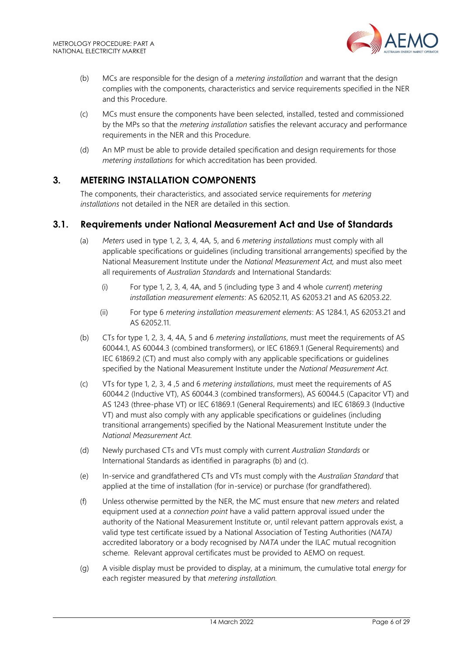

- (b) MCs are responsible for the design of a *metering installation* and warrant that the design complies with the components, characteristics and service requirements specified in the NER and this Procedure.
- (c) MCs must ensure the components have been selected, installed, tested and commissioned by the MPs so that the *metering installation* satisfies the relevant accuracy and performance requirements in the NER and this Procedure.
- (d) An MP must be able to provide detailed specification and design requirements for those *metering installations* for which accreditation has been provided.

#### <span id="page-5-0"></span>**3. METERING INSTALLATION COMPONENTS**

The components, their characteristics, and associated service requirements for *metering installations* not detailed in the NER are detailed in this section.

#### <span id="page-5-1"></span>**3.1. Requirements under National Measurement Act and Use of Standards**

- (a) *Meters* used in type 1, 2, 3, 4, 4A, 5, and 6 *metering installations* must comply with all applicable specifications or guidelines (including transitional arrangements) specified by the National Measurement Institute under the *National Measurement Act,* and must also meet all requirements of *Australian Standards* and International Standards:
	- (i) For type 1, 2, 3, 4, 4A, and 5 (including type 3 and 4 whole *current*) *metering installation measurement elements*: AS 62052.11, AS 62053.21 and AS 62053.22.
	- (ii) For type 6 *metering installation measurement elements*: AS 1284.1, AS 62053.21 and AS 62052.11.
- (b) CTs for type 1, 2, 3, 4, 4A, 5 and 6 *metering installations*, must meet the requirements of AS 60044.1, AS 60044.3 (combined transformers), or IEC 61869.1 (General Requirements) and IEC 61869.2 (CT) and must also comply with any applicable specifications or guidelines specified by the National Measurement Institute under the *National Measurement Act.*
- (c) VTs for type 1, 2, 3, 4 ,5 and 6 *metering installations*, must meet the requirements of AS 60044.2 (Inductive VT), AS 60044.3 (combined transformers), AS 60044.5 (Capacitor VT) and AS 1243 (three-phase VT) or IEC 61869.1 (General Requirements) and IEC 61869.3 (Inductive VT) and must also comply with any applicable specifications or guidelines (including transitional arrangements) specified by the National Measurement Institute under the *National Measurement Act.*
- (d) Newly purchased CTs and VTs must comply with current *Australian Standards* or International Standards as identified in paragraphs (b) and (c).
- (e) In-service and grandfathered CTs and VTs must comply with the *Australian Standard* that applied at the time of installation (for in-service) or purchase (for grandfathered).
- (f) Unless otherwise permitted by the NER, the MC must ensure that new *meters* and related equipment used at a *connection point* have a valid pattern approval issued under the authority of the National Measurement Institute or, until relevant pattern approvals exist, a valid type test certificate issued by a National Association of Testing Authorities (*NATA)* accredited laboratory or a body recognised by *NATA* under the ILAC mutual recognition scheme. Relevant approval certificates must be provided to AEMO on request.
- (g) A visible display must be provided to display, at a minimum, the cumulative total *energy* for each register measured by that *metering installation.*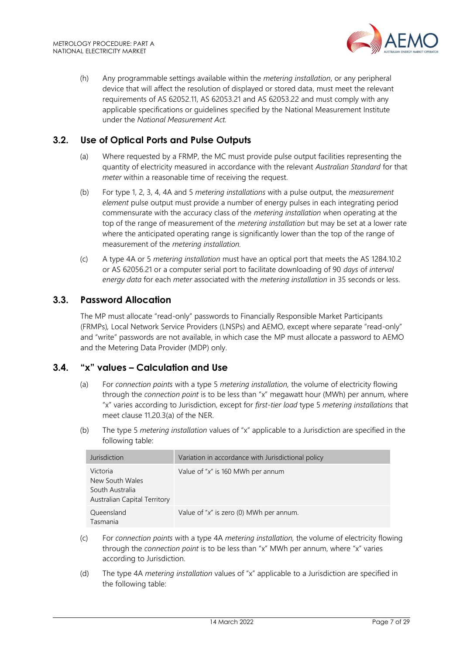

(h) Any programmable settings available within the *metering installation*, or any peripheral device that will affect the resolution of displayed or stored data, must meet the relevant requirements of AS 62052.11, AS 62053.21 and AS 62053.22 and must comply with any applicable specifications or guidelines specified by the National Measurement Institute under the *National Measurement Act.*

# <span id="page-6-0"></span>**3.2. Use of Optical Ports and Pulse Outputs**

- (a) Where requested by a FRMP, the MC must provide pulse output facilities representing the quantity of electricity measured in accordance with the relevant *Australian Standard* for that *meter* within a reasonable time of receiving the request.
- (b) For type 1, 2, 3, 4, 4A and 5 *metering installations* with a pulse output, the *measurement element* pulse output must provide a number of energy pulses in each integrating period commensurate with the accuracy class of the *metering installation* when operating at the top of the range of measurement of the *metering installation* but may be set at a lower rate where the anticipated operating range is significantly lower than the top of the range of measurement of the *metering installation.*
- (c) A type 4A or 5 *metering installation* must have an optical port that meets the AS 1284.10.2 or AS 62056.21 or a computer serial port to facilitate downloading of 90 *days* of *interval energy data* for each *meter* associated with the *metering installation* in 35 seconds or less.

#### <span id="page-6-1"></span>**3.3. Password Allocation**

The MP must allocate "read-only" passwords to Financially Responsible Market Participants (FRMPs)*,* Local Network Service Providers (LNSPs) and AEMO, except where separate "read-only" and "write" passwords are not available, in which case the MP must allocate a password to AEMO and the Metering Data Provider (MDP) only.

#### <span id="page-6-2"></span>**3.4. "x" values – Calculation and Use**

- (a) For *connection points* with a type 5 *metering installation,* the volume of electricity flowing through the *connection point* is to be less than "x" megawatt hour (MWh) per annum, where "x" varies according to Jurisdiction, except for *first-tier load* type 5 *metering installations* that meet clause 11.20.3(a) of the NER.
- (b) The type 5 *metering installation* values of "x" applicable to a Jurisdiction are specified in the following table:

| Jurisdiction                                                                   | Variation in accordance with Jurisdictional policy |
|--------------------------------------------------------------------------------|----------------------------------------------------|
| Victoria<br>New South Wales<br>South Australia<br>Australian Capital Territory | Value of " $x$ " is 160 MWh per annum              |
| Queensland<br>Tasmania                                                         | Value of " $x$ " is zero (0) MWh per annum.        |

- (c) For *connection points* with a type 4A *metering installation,* the volume of electricity flowing through the *connection point* is to be less than "x" MWh per annum, where "x" varies according to Jurisdiction.
- (d) The type 4A *metering installation* values of "x" applicable to a Jurisdiction are specified in the following table: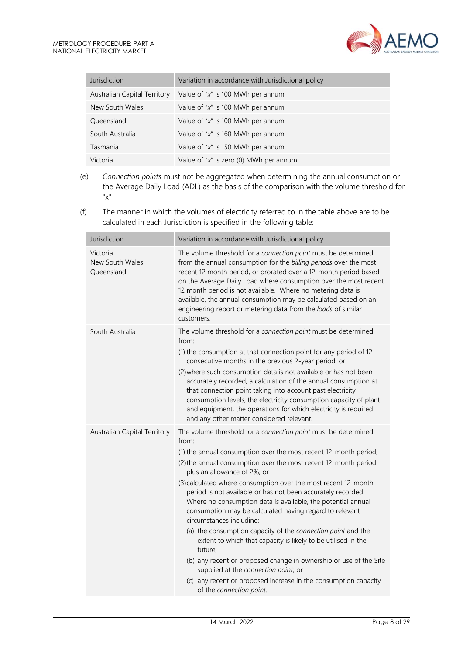| Jurisdiction                        | Variation in accordance with Jurisdictional policy |
|-------------------------------------|----------------------------------------------------|
| <b>Australian Capital Territory</b> | Value of " $x$ " is 100 MWh per annum              |
| New South Wales                     | Value of " $x$ " is 100 MWh per annum              |
| Queensland                          | Value of " $x$ " is 100 MWh per annum              |
| South Australia                     | Value of " $x$ " is 160 MWh per annum              |
| Tasmania                            | Value of " $x$ " is 150 MWh per annum              |
| Victoria                            | Value of " $x$ " is zero (0) MWh per annum         |

- (e) *Connection points* must not be aggregated when determining the annual consumption or the Average Daily Load (ADL) as the basis of the comparison with the volume threshold for "x"
- (f) The manner in which the volumes of electricity referred to in the table above are to be calculated in each Jurisdiction is specified in the following table:

| Jurisdiction                              | Variation in accordance with Jurisdictional policy                                                                                                                                                                                                                                                                                                                                                                                                                                                                                                                                                                                                                                                                                                                                                                                                                                             |
|-------------------------------------------|------------------------------------------------------------------------------------------------------------------------------------------------------------------------------------------------------------------------------------------------------------------------------------------------------------------------------------------------------------------------------------------------------------------------------------------------------------------------------------------------------------------------------------------------------------------------------------------------------------------------------------------------------------------------------------------------------------------------------------------------------------------------------------------------------------------------------------------------------------------------------------------------|
| Victoria<br>New South Wales<br>Queensland | The volume threshold for a connection point must be determined<br>from the annual consumption for the billing periods over the most<br>recent 12 month period, or prorated over a 12-month period based<br>on the Average Daily Load where consumption over the most recent<br>12 month period is not available. Where no metering data is<br>available, the annual consumption may be calculated based on an<br>engineering report or metering data from the loads of similar<br>customers.                                                                                                                                                                                                                                                                                                                                                                                                   |
| South Australia                           | The volume threshold for a connection point must be determined<br>from:<br>(1) the consumption at that connection point for any period of 12<br>consecutive months in the previous 2-year period, or<br>(2) where such consumption data is not available or has not been<br>accurately recorded, a calculation of the annual consumption at<br>that connection point taking into account past electricity<br>consumption levels, the electricity consumption capacity of plant<br>and equipment, the operations for which electricity is required<br>and any other matter considered relevant.                                                                                                                                                                                                                                                                                                 |
| Australian Capital Territory              | The volume threshold for a connection point must be determined<br>from:<br>(1) the annual consumption over the most recent 12-month period,<br>(2) the annual consumption over the most recent 12-month period<br>plus an allowance of 2%; or<br>(3) calculated where consumption over the most recent 12-month<br>period is not available or has not been accurately recorded.<br>Where no consumption data is available, the potential annual<br>consumption may be calculated having regard to relevant<br>circumstances including:<br>(a) the consumption capacity of the connection point and the<br>extent to which that capacity is likely to be utilised in the<br>future;<br>(b) any recent or proposed change in ownership or use of the Site<br>supplied at the connection point; or<br>(c) any recent or proposed increase in the consumption capacity<br>of the connection point. |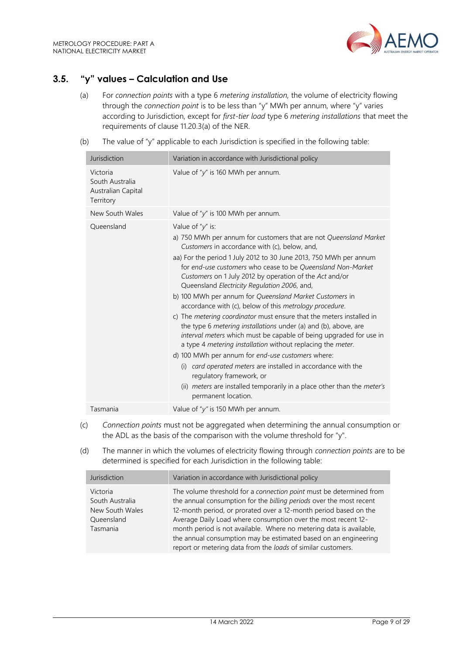

# <span id="page-8-0"></span>**3.5. "y" values – Calculation and Use**

- (a) For *connection points* with a type 6 *metering installation,* the volume of electricity flowing through the *connection point* is to be less than "y" MWh per annum, where "y" varies according to Jurisdiction, except for *first-tier load* type 6 *metering installations* that meet the requirements of clause 11.20.3(a) of the NER.
- (b) The value of "y" applicable to each Jurisdiction is specified in the following table:

| Jurisdiction                                                   | Variation in accordance with Jurisdictional policy                                                                                                                                                                                                                                                                                                                                                                                                                                                                                                                                                                                                                                                                                                                                                                                                                                                                                                                                                                                                                           |  |
|----------------------------------------------------------------|------------------------------------------------------------------------------------------------------------------------------------------------------------------------------------------------------------------------------------------------------------------------------------------------------------------------------------------------------------------------------------------------------------------------------------------------------------------------------------------------------------------------------------------------------------------------------------------------------------------------------------------------------------------------------------------------------------------------------------------------------------------------------------------------------------------------------------------------------------------------------------------------------------------------------------------------------------------------------------------------------------------------------------------------------------------------------|--|
| Victoria<br>South Australia<br>Australian Capital<br>Territory | Value of " $y''$ is 160 MWh per annum.                                                                                                                                                                                                                                                                                                                                                                                                                                                                                                                                                                                                                                                                                                                                                                                                                                                                                                                                                                                                                                       |  |
| New South Wales                                                | Value of " $y''$ is 100 MWh per annum.                                                                                                                                                                                                                                                                                                                                                                                                                                                                                                                                                                                                                                                                                                                                                                                                                                                                                                                                                                                                                                       |  |
| Oueensland                                                     | Value of " $y$ " is:<br>a) 750 MWh per annum for customers that are not Queensland Market<br>Customers in accordance with (c), below, and,<br>aa) For the period 1 July 2012 to 30 June 2013, 750 MWh per annum<br>for end-use customers who cease to be Queensland Non-Market<br>Customers on 1 July 2012 by operation of the Act and/or<br>Queensland Electricity Regulation 2006, and,<br>b) 100 MWh per annum for Queensland Market Customers in<br>accordance with (c), below of this <i>metrology procedure</i> .<br>c) The metering coordinator must ensure that the meters installed in<br>the type 6 metering installations under (a) and (b), above, are<br>interval meters which must be capable of being upgraded for use in<br>a type 4 metering installation without replacing the meter.<br>d) 100 MWh per annum for end-use customers where:<br>card operated meters are installed in accordance with the<br>(i)<br>regulatory framework, or<br>(ii) <i>meters</i> are installed temporarily in a place other than the <i>meter's</i><br>permanent location. |  |
| Tasmania                                                       | Value of " $y$ " is 150 MWh per annum.                                                                                                                                                                                                                                                                                                                                                                                                                                                                                                                                                                                                                                                                                                                                                                                                                                                                                                                                                                                                                                       |  |

- (c) *Connection points* must not be aggregated when determining the annual consumption or the ADL as the basis of the comparison with the volume threshold for "y".
- (d) The manner in which the volumes of electricity flowing through *connection points* are to be determined is specified for each Jurisdiction in the following table:

| Jurisdiction                                                             | Variation in accordance with Jurisdictional policy                                                                                                                                                                                                                                                                                                                                                                                                                                        |
|--------------------------------------------------------------------------|-------------------------------------------------------------------------------------------------------------------------------------------------------------------------------------------------------------------------------------------------------------------------------------------------------------------------------------------------------------------------------------------------------------------------------------------------------------------------------------------|
| Victoria<br>South Australia<br>New South Wales<br>Queensland<br>Tasmania | The volume threshold for a connection point must be determined from<br>the annual consumption for the billing periods over the most recent<br>12-month period, or prorated over a 12-month period based on the<br>Average Daily Load where consumption over the most recent 12-<br>month period is not available. Where no metering data is available,<br>the annual consumption may be estimated based on an engineering<br>report or metering data from the loads of similar customers. |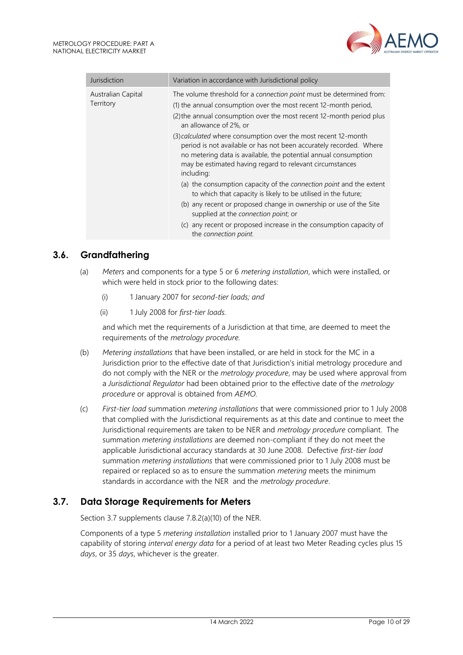

| Jurisdiction                    | Variation in accordance with Jurisdictional policy                                                                                                                                                                                                                                |  |
|---------------------------------|-----------------------------------------------------------------------------------------------------------------------------------------------------------------------------------------------------------------------------------------------------------------------------------|--|
| Australian Capital<br>Territory | The volume threshold for a connection point must be determined from:<br>(1) the annual consumption over the most recent 12-month period,<br>(2) the annual consumption over the most recent 12-month period plus<br>an allowance of 2%, or                                        |  |
|                                 | (3) calculated where consumption over the most recent 12-month<br>period is not available or has not been accurately recorded. Where<br>no metering data is available, the potential annual consumption<br>may be estimated having regard to relevant circumstances<br>including: |  |
|                                 | (a) the consumption capacity of the connection point and the extent<br>to which that capacity is likely to be utilised in the future;                                                                                                                                             |  |
|                                 | (b) any recent or proposed change in ownership or use of the Site<br>supplied at the connection point; or                                                                                                                                                                         |  |
|                                 | (c) any recent or proposed increase in the consumption capacity of<br>the connection point.                                                                                                                                                                                       |  |

# <span id="page-9-0"></span>**3.6. Grandfathering**

- (a) *Meters* and components for a type 5 or 6 *metering installation*, which were installed, or which were held in stock prior to the following dates:
	- (i) 1 January 2007 for *second-tier loads; and*
	- (ii) 1 July 2008 for *first-tier loads.*

and which met the requirements of a Jurisdiction at that time, are deemed to meet the requirements of the *metrology procedure.*

- (b) *Metering installations* that have been installed, or are held in stock for the MC in a Jurisdiction prior to the effective date of that Jurisdiction's initial metrology procedure and do not comply with the NER or the *metrology procedure*, may be used where approval from a *Jurisdictional Regulator* had been obtained prior to the effective date of the *metrology procedure* or approval is obtained from *AEMO.*
- (c) *First-tier load* summation *metering installations* that were commissioned prior to 1 July 2008 that complied with the Jurisdictional requirements as at this date and continue to meet the Jurisdictional requirements are taken to be NER and *metrology procedure* compliant. The summation *metering installations* are deemed non-compliant if they do not meet the applicable Jurisdictional accuracy standards at 30 June 2008. Defective *first-tier load* summation *metering installations* that were commissioned prior to 1 July 2008 must be repaired or replaced so as to ensure the summation *metering* meets the minimum standards in accordance with the NER and the *metrology procedure*.

#### <span id="page-9-1"></span>**3.7. Data Storage Requirements for Meters**

Section 3.7 supplements clause 7.8.2(a)(10) of the NER.

Components of a type 5 *metering installation* installed prior to 1 January 2007 must have the capability of storing *interval energy data* for a period of at least two Meter Reading cycles plus 15 *days*, or 35 *days*, whichever is the greater.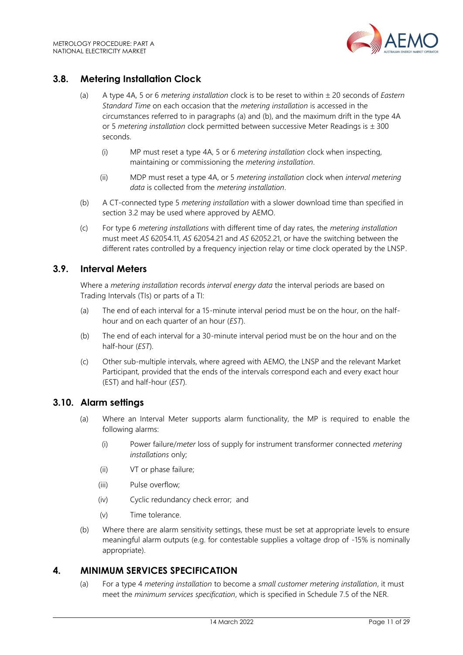

# <span id="page-10-0"></span>**3.8. Metering Installation Clock**

- (a) A type 4A, 5 or 6 *metering installation* clock is to be reset to within 20 seconds of *Eastern Standard Time* on each occasion that the *metering installation* is accessed in the circumstances referred to in paragraphs (a) and (b), and the maximum drift in the type 4A or 5 *metering installation* clock permitted between successive Meter Readings is  $\pm$  300 seconds.
	- (i) MP must reset a type 4A, 5 or 6 *metering installation* clock when inspecting, maintaining or commissioning the *metering installation*.
	- (ii) MDP must reset a type 4A, or 5 *metering installation* clock when *interval metering data* is collected from the *metering installation*.
- (b) A CT-connected type 5 *metering installation* with a slower download time than specified in section 3.2 may be used where approved by AEMO.
- (c) For type 6 *metering installations* with different time of day rates, the *metering installation* must meet *AS* 62054.11, *AS* 62054.21 and *AS* 62052.21, or have the switching between the different rates controlled by a frequency injection relay or time clock operated by the LNSP.

#### <span id="page-10-1"></span>**3.9. Interval Meters**

Where a *metering installation* records *interval energy data* the interval periods are based on Trading Intervals (TIs) or parts of a TI:

- (a) The end of each interval for a 15-minute interval period must be on the hour, on the halfhour and on each quarter of an hour (*EST*).
- (b) The end of each interval for a 30-minute interval period must be on the hour and on the half-hour (*EST*).
- (c) Other sub-multiple intervals, where agreed with AEMO, the LNSP and the relevant Market Participant, provided that the ends of the intervals correspond each and every exact hour (EST) and half-hour (*EST*).

# <span id="page-10-2"></span>**3.10. Alarm settings**

- (a) Where an Interval Meter supports alarm functionality, the MP is required to enable the following alarms:
	- (i) Power failure/*meter* loss of supply for instrument transformer connected *metering installations* only;
	- (ii) VT or phase failure;
	- (iii) Pulse overflow;
	- (iv) Cyclic redundancy check error; and
	- (v) Time tolerance.
- (b) Where there are alarm sensitivity settings, these must be set at appropriate levels to ensure meaningful alarm outputs (e.g. for contestable supplies a voltage drop of -15% is nominally appropriate).

#### <span id="page-10-3"></span>**4. MINIMUM SERVICES SPECIFICATION**

(a) For a type 4 *metering installation* to become a *small customer metering installation*, it must meet the *minimum services specification*, which is specified in Schedule 7.5 of the NER.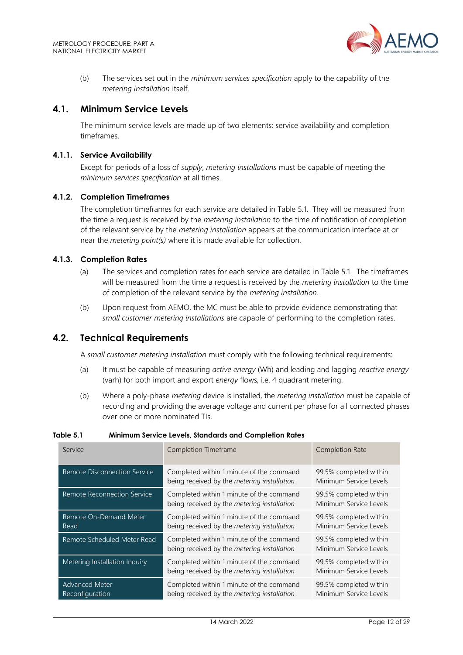

(b) The services set out in the *minimum services specification* apply to the capability of the *metering installation* itself.

#### <span id="page-11-0"></span>**4.1. Minimum Service Levels**

The minimum service levels are made up of two elements: service availability and completion timeframes.

#### **4.1.1. Service Availability**

Except for periods of a loss of *supply*, *metering installations* must be capable of meeting the *minimum services specification* at all times.

#### **4.1.2. Completion Timeframes**

The completion timeframes for each service are detailed in Table 5.1. They will be measured from the time a request is received by the *metering installation* to the time of notification of completion of the relevant service by the *metering installation* appears at the communication interface at or near the *metering point(s)* where it is made available for collection.

#### **4.1.3. Completion Rates**

- (a) The services and completion rates for each service are detailed in Table 5.1. The timeframes will be measured from the time a request is received by the *metering installation* to the time of completion of the relevant service by the *metering installation*.
- (b) Upon request from AEMO, the MC must be able to provide evidence demonstrating that *small customer metering installations* are capable of performing to the completion rates.

#### <span id="page-11-1"></span>**4.2. Technical Requirements**

A *small customer metering installation* must comply with the following technical requirements:

- (a) It must be capable of measuring *active energy* (Wh) and leading and lagging *reactive energy* (varh) for both import and export *energy* flows, i.e. 4 quadrant metering.
- (b) Where a poly-phase *metering* device is installed, the *metering installation* must be capable of recording and providing the average voltage and current per phase for all connected phases over one or more nominated TIs.

| Service                                  | Completion Timeframe                                                                    | Completion Rate                                  |
|------------------------------------------|-----------------------------------------------------------------------------------------|--------------------------------------------------|
| Remote Disconnection Service             | Completed within 1 minute of the command<br>being received by the metering installation | 99.5% completed within<br>Minimum Service Levels |
| Remote Reconnection Service              | Completed within 1 minute of the command<br>being received by the metering installation | 99.5% completed within<br>Minimum Service Levels |
| Remote On-Demand Meter<br>Read           | Completed within 1 minute of the command<br>being received by the metering installation | 99.5% completed within<br>Minimum Service Levels |
| Remote Scheduled Meter Read              | Completed within 1 minute of the command<br>being received by the metering installation | 99.5% completed within<br>Minimum Service Levels |
| Metering Installation Inquiry            | Completed within 1 minute of the command<br>being received by the metering installation | 99.5% completed within<br>Minimum Service Levels |
| <b>Advanced Meter</b><br>Reconfiguration | Completed within 1 minute of the command<br>being received by the metering installation | 99.5% completed within<br>Minimum Service Levels |

#### **Table 5.1 Minimum Service Levels, Standards and Completion Rates**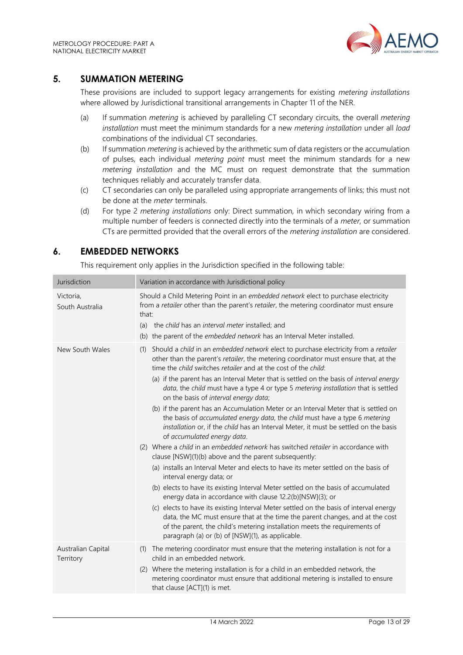

# <span id="page-12-0"></span>**5. SUMMATION METERING**

These provisions are included to support legacy arrangements for existing *metering installations* where allowed by Jurisdictional transitional arrangements in Chapter 11 of the NER.

- (a) If summation *metering* is achieved by paralleling CT secondary circuits, the overall *metering installation* must meet the minimum standards for a new *metering installation* under all *load* combinations of the individual CT secondaries.
- (b) If summation *metering* is achieved by the arithmetic sum of data registers or the accumulation of pulses, each individual *metering point* must meet the minimum standards for a new *metering installation* and the MC must on request demonstrate that the summation techniques reliably and accurately transfer data.
- (c) CT secondaries can only be paralleled using appropriate arrangements of links; this must not be done at the *meter* terminals.
- (d) For type 2 *metering installations* only: Direct summation, in which secondary wiring from a multiple number of feeders is connected directly into the terminals of a *meter,* or summation CTs are permitted provided that the overall errors of the *metering installation* are considered.

# <span id="page-12-1"></span>**6. EMBEDDED NETWORKS**

This requirement only applies in the Jurisdiction specified in the following table:

| Jurisdiction                    | Variation in accordance with Jurisdictional policy                                                                                                                                                                                                                                                                                                                                                                                                                                                                                                                                                                                                                                                                                                                                                                                                                                                                                                                                                                                                                                                                                                                                                                                                                                                                                                                                                                                                                                                          |  |
|---------------------------------|-------------------------------------------------------------------------------------------------------------------------------------------------------------------------------------------------------------------------------------------------------------------------------------------------------------------------------------------------------------------------------------------------------------------------------------------------------------------------------------------------------------------------------------------------------------------------------------------------------------------------------------------------------------------------------------------------------------------------------------------------------------------------------------------------------------------------------------------------------------------------------------------------------------------------------------------------------------------------------------------------------------------------------------------------------------------------------------------------------------------------------------------------------------------------------------------------------------------------------------------------------------------------------------------------------------------------------------------------------------------------------------------------------------------------------------------------------------------------------------------------------------|--|
| Victoria,<br>South Australia    | Should a Child Metering Point in an embedded network elect to purchase electricity<br>from a retailer other than the parent's retailer, the metering coordinator must ensure<br>that:<br>(a) the child has an interval meter installed; and<br>(b) the parent of the embedded network has an Interval Meter installed.                                                                                                                                                                                                                                                                                                                                                                                                                                                                                                                                                                                                                                                                                                                                                                                                                                                                                                                                                                                                                                                                                                                                                                                      |  |
| New South Wales                 | Should a child in an embedded network elect to purchase electricity from a retailer<br>(1)<br>other than the parent's retailer, the metering coordinator must ensure that, at the<br>time the child switches retailer and at the cost of the child:<br>(a) if the parent has an Interval Meter that is settled on the basis of interval energy<br>data, the child must have a type 4 or type 5 metering installation that is settled<br>on the basis of interval energy data;<br>(b) if the parent has an Accumulation Meter or an Interval Meter that is settled on<br>the basis of accumulated energy data, the child must have a type 6 metering<br>installation or, if the child has an Interval Meter, it must be settled on the basis<br>of accumulated energy data.<br>(2) Where a child in an embedded network has switched retailer in accordance with<br>clause [NSW](1)(b) above and the parent subsequently:<br>(a) installs an Interval Meter and elects to have its meter settled on the basis of<br>interval energy data; or<br>(b) elects to have its existing Interval Meter settled on the basis of accumulated<br>energy data in accordance with clause 12.2(b)[NSW](3); or<br>(c) elects to have its existing Interval Meter settled on the basis of interval energy<br>data, the MC must ensure that at the time the parent changes, and at the cost<br>of the parent, the child's metering installation meets the requirements of<br>paragraph (a) or (b) of [NSW](1), as applicable. |  |
| Australian Capital<br>Territory | (1) The metering coordinator must ensure that the metering installation is not for a<br>child in an embedded network.<br>(2) Where the metering installation is for a child in an embedded network, the<br>metering coordinator must ensure that additional metering is installed to ensure<br>that clause [ACT](1) is met.                                                                                                                                                                                                                                                                                                                                                                                                                                                                                                                                                                                                                                                                                                                                                                                                                                                                                                                                                                                                                                                                                                                                                                                 |  |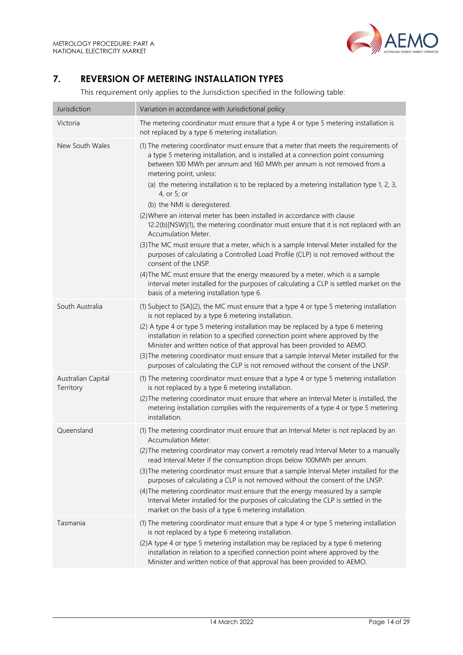

# <span id="page-13-0"></span>**7. REVERSION OF METERING INSTALLATION TYPES**

This requirement only applies to the Jurisdiction specified in the following table:

| Jurisdiction                    | Variation in accordance with Jurisdictional policy                                                                                                                                                                                                                                                                                                                                                                                                                                                                                                                                                                                                                                                                                                                                                                                                                                                                                                                                                                                                          |
|---------------------------------|-------------------------------------------------------------------------------------------------------------------------------------------------------------------------------------------------------------------------------------------------------------------------------------------------------------------------------------------------------------------------------------------------------------------------------------------------------------------------------------------------------------------------------------------------------------------------------------------------------------------------------------------------------------------------------------------------------------------------------------------------------------------------------------------------------------------------------------------------------------------------------------------------------------------------------------------------------------------------------------------------------------------------------------------------------------|
| Victoria                        | The metering coordinator must ensure that a type 4 or type 5 metering installation is<br>not replaced by a type 6 metering installation.                                                                                                                                                                                                                                                                                                                                                                                                                                                                                                                                                                                                                                                                                                                                                                                                                                                                                                                    |
| New South Wales                 | (1) The metering coordinator must ensure that a meter that meets the requirements of<br>a type 5 metering installation, and is installed at a connection point consuming<br>between 100 MWh per annum and 160 MWh per annum is not removed from a<br>metering point, unless:<br>(a) the metering installation is to be replaced by a metering installation type 1, 2, 3,<br>4, or 5; or<br>(b) the NMI is deregistered.<br>(2) Where an interval meter has been installed in accordance with clause<br>12.2(b)[NSW](1), the metering coordinator must ensure that it is not replaced with an<br><b>Accumulation Meter.</b><br>(3) The MC must ensure that a meter, which is a sample Interval Meter installed for the<br>purposes of calculating a Controlled Load Profile (CLP) is not removed without the<br>consent of the LNSP.<br>(4) The MC must ensure that the energy measured by a meter, which is a sample<br>interval meter installed for the purposes of calculating a CLP is settled market on the<br>basis of a metering installation type 6. |
| South Australia                 | (1) Subject to [SA](2), the MC must ensure that a type 4 or type 5 metering installation<br>is not replaced by a type 6 metering installation.<br>(2) A type 4 or type 5 metering installation may be replaced by a type 6 metering<br>installation in relation to a specified connection point where approved by the<br>Minister and written notice of that approval has been provided to AEMO.<br>(3) The metering coordinator must ensure that a sample Interval Meter installed for the<br>purposes of calculating the CLP is not removed without the consent of the LNSP.                                                                                                                                                                                                                                                                                                                                                                                                                                                                              |
| Australian Capital<br>Territory | (1) The metering coordinator must ensure that a type 4 or type 5 metering installation<br>is not replaced by a type 6 metering installation.<br>(2) The metering coordinator must ensure that where an Interval Meter is installed, the<br>metering installation complies with the requirements of a type 4 or type 5 metering<br>installation.                                                                                                                                                                                                                                                                                                                                                                                                                                                                                                                                                                                                                                                                                                             |
| Queensland                      | (1) The metering coordinator must ensure that an Interval Meter is not replaced by an<br>Accumulation Meter.<br>(2) The metering coordinator may convert a remotely read Interval Meter to a manually<br>read Interval Meter if the consumption drops below 100MWh per annum.<br>(3) The metering coordinator must ensure that a sample Interval Meter installed for the<br>purposes of calculating a CLP is not removed without the consent of the LNSP.<br>(4) The metering coordinator must ensure that the energy measured by a sample<br>Interval Meter installed for the purposes of calculating the CLP is settled in the<br>market on the basis of a type 6 metering installation.                                                                                                                                                                                                                                                                                                                                                                  |
| Tasmania                        | (1) The metering coordinator must ensure that a type 4 or type 5 metering installation<br>is not replaced by a type 6 metering installation.<br>(2) A type 4 or type 5 metering installation may be replaced by a type 6 metering<br>installation in relation to a specified connection point where approved by the<br>Minister and written notice of that approval has been provided to AEMO.                                                                                                                                                                                                                                                                                                                                                                                                                                                                                                                                                                                                                                                              |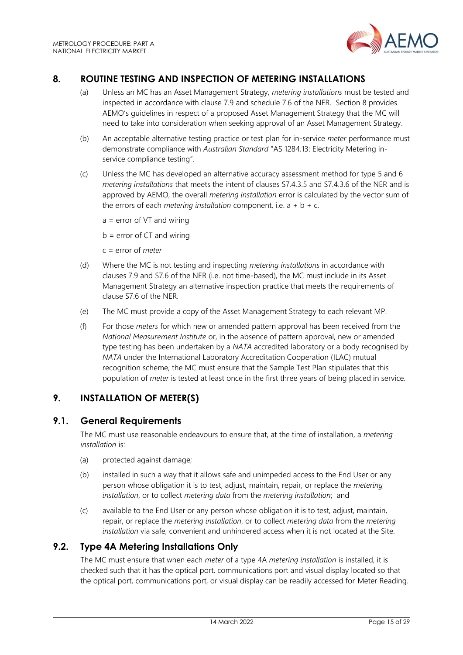

# <span id="page-14-0"></span>**8. ROUTINE TESTING AND INSPECTION OF METERING INSTALLATIONS**

- (a) Unless an MC has an Asset Management Strategy, *metering installations* must be tested and inspected in accordance with clause 7.9 and schedule 7.6 of the NER. Section 8 provides AEMO's guidelines in respect of a proposed Asset Management Strategy that the MC will need to take into consideration when seeking approval of an Asset Management Strategy.
- (b) An acceptable alternative testing practice or test plan for in-service *meter* performance must demonstrate compliance with *Australian Standard* "AS 1284.13: Electricity Metering inservice compliance testing".
- (c) Unless the MC has developed an alternative accuracy assessment method for type 5 and 6 *metering installations* that meets the intent of clauses S7.4.3.5 and S7.4.3.6 of the NER and is approved by AEMO, the overall *metering installation* error is calculated by the vector sum of the errors of each *metering installation* component, i.e.  $a + b + c$ .
	- $a = error of VT and wiring$
	- $b = error of CT and wiring$
	- c = error of *meter*
- (d) Where the MC is not testing and inspecting *metering installations* in accordance with clauses 7.9 and S7.6 of the NER (i.e. not time-based), the MC must include in its Asset Management Strategy an alternative inspection practice that meets the requirements of clause S7.6 of the NER.
- (e) The MC must provide a copy of the Asset Management Strategy to each relevant MP.
- (f) For those *meters* for which new or amended pattern approval has been received from the *National Measurement Institute* or, in the absence of pattern approval, new or amended type testing has been undertaken by a *NATA* accredited laboratory or a body recognised by *NATA* under the International Laboratory Accreditation Cooperation (ILAC) mutual recognition scheme, the MC must ensure that the Sample Test Plan stipulates that this population of *meter* is tested at least once in the first three years of being placed in service.

# <span id="page-14-1"></span>**9. INSTALLATION OF METER(S)**

#### <span id="page-14-2"></span>**9.1. General Requirements**

The MC must use reasonable endeavours to ensure that, at the time of installation, a *metering installation* is:

- (a) protected against damage;
- (b) installed in such a way that it allows safe and unimpeded access to the End User or any person whose obligation it is to test, adjust, maintain, repair, or replace the *metering installation*, or to collect *metering data* from the *metering installation*; and
- (c) available to the End User or any person whose obligation it is to test, adjust, maintain, repair, or replace the *metering installation*, or to collect *metering data* from the *metering installation* via safe, convenient and unhindered access when it is not located at the Site.

#### <span id="page-14-3"></span>**9.2. Type 4A Metering Installations Only**

The MC must ensure that when each *meter* of a type 4A *metering installation* is installed, it is checked such that it has the optical port, communications port and visual display located so that the optical port, communications port, or visual display can be readily accessed for Meter Reading.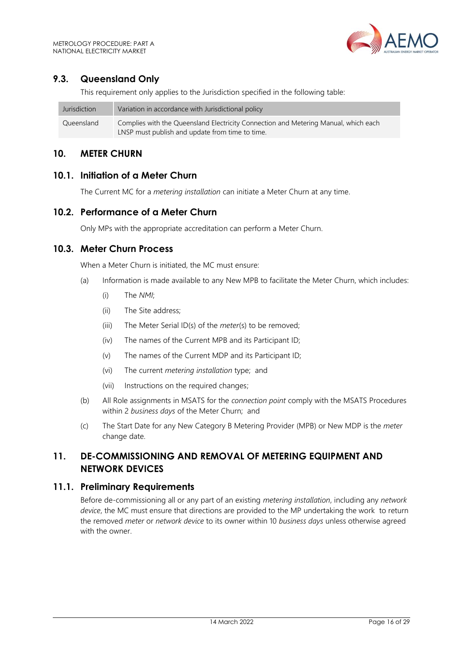# <span id="page-15-0"></span>**9.3. Queensland Only**

This requirement only applies to the Jurisdiction specified in the following table:

| Jurisdiction | Variation in accordance with Jurisdictional policy                                  |
|--------------|-------------------------------------------------------------------------------------|
| Queensland   | Complies with the Queensland Electricity Connection and Metering Manual, which each |
|              | LNSP must publish and update from time to time.                                     |

#### <span id="page-15-1"></span>**10. METER CHURN**

#### <span id="page-15-2"></span>**10.1. Initiation of a Meter Churn**

The Current MC for a *metering installation* can initiate a Meter Churn at any time.

#### <span id="page-15-3"></span>**10.2. Performance of a Meter Churn**

Only MPs with the appropriate accreditation can perform a Meter Churn.

#### <span id="page-15-4"></span>**10.3. Meter Churn Process**

When a Meter Churn is initiated, the MC must ensure:

- (a) Information is made available to any New MPB to facilitate the Meter Churn, which includes:
	- (i) The *NMI*;
	- (ii) The Site address;
	- (iii) The Meter Serial ID(s) of the *meter*(s) to be removed;
	- (iv) The names of the Current MPB and its Participant ID;
	- (v) The names of the Current MDP and its Participant ID;
	- (vi) The current *metering installation* type; and
	- (vii) Instructions on the required changes;
- (b) All Role assignments in MSATS for the *connection point* comply with the MSATS Procedures within 2 *business days* of the Meter Churn; and
- (c) The Start Date for any New Category B Metering Provider (MPB) or New MDP is the *meter* change date.

# <span id="page-15-5"></span>**11. DE-COMMISSIONING AND REMOVAL OF METERING EQUIPMENT AND NETWORK DEVICES**

#### <span id="page-15-6"></span>**11.1. Preliminary Requirements**

Before de-commissioning all or any part of an existing *metering installation*, including any *network device*, the MC must ensure that directions are provided to the MP undertaking the work to return the removed *meter* or *network device* to its owner within 10 *business days* unless otherwise agreed with the owner.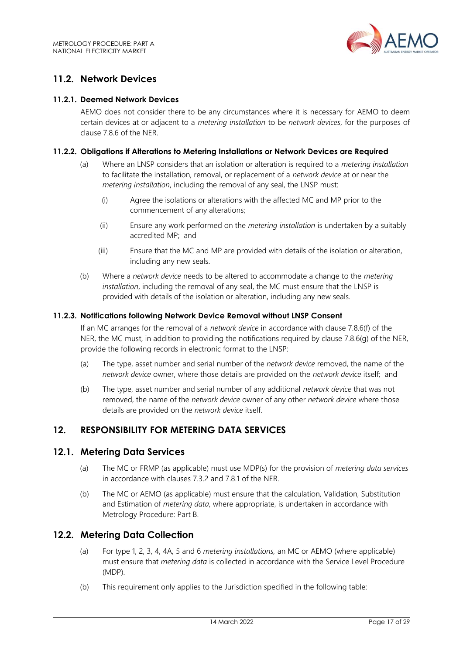

# <span id="page-16-0"></span>**11.2. Network Devices**

#### **11.2.1. Deemed Network Devices**

AEMO does not consider there to be any circumstances where it is necessary for AEMO to deem certain devices at or adjacent to a *metering installation* to be *network devices*, for the purposes of clause 7.8.6 of the NER.

#### **11.2.2. Obligations if Alterations to Metering Installations or Network Devices are Required**

- (a) Where an LNSP considers that an isolation or alteration is required to a *metering installation* to facilitate the installation, removal, or replacement of a *network device* at or near the *metering installation*, including the removal of any seal, the LNSP must:
	- (i) Agree the isolations or alterations with the affected MC and MP prior to the commencement of any alterations;
	- (ii) Ensure any work performed on the *metering installation* is undertaken by a suitably accredited MP; and
	- (iii) Ensure that the MC and MP are provided with details of the isolation or alteration, including any new seals.
- (b) Where a *network device* needs to be altered to accommodate a change to the *metering installation*, including the removal of any seal, the MC must ensure that the LNSP is provided with details of the isolation or alteration, including any new seals.

#### **11.2.3. Notifications following Network Device Removal without LNSP Consent**

If an MC arranges for the removal of a *network device* in accordance with clause 7.8.6(f) of the NER, the MC must, in addition to providing the notifications required by clause 7.8.6(g) of the NER. provide the following records in electronic format to the LNSP:

- (a) The type, asset number and serial number of the *network device* removed, the name of the *network device* owner, where those details are provided on the *network device* itself; and
- (b) The type, asset number and serial number of any additional *network device* that was not removed, the name of the *network device* owner of any other *network device* where those details are provided on the *network device* itself.

#### <span id="page-16-1"></span>**12. RESPONSIBILITY FOR METERING DATA SERVICES**

#### <span id="page-16-2"></span>**12.1. Metering Data Services**

- (a) The MC or FRMP (as applicable) must use MDP(s) for the provision of *metering data services* in accordance with clauses 7.3.2 and 7.8.1 of the NER.
- (b) The MC or AEMO (as applicable) must ensure that the calculation*,* Validation, Substitution and Estimation of *metering data*, where appropriate, is undertaken in accordance with Metrology Procedure: Part B.

#### <span id="page-16-3"></span>**12.2. Metering Data Collection**

- (a) For type 1, 2, 3, 4, 4A, 5 and 6 *metering installations,* an MC or AEMO (where applicable) must ensure that *metering data* is collected in accordance with the Service Level Procedure (MDP).
- (b) This requirement only applies to the Jurisdiction specified in the following table: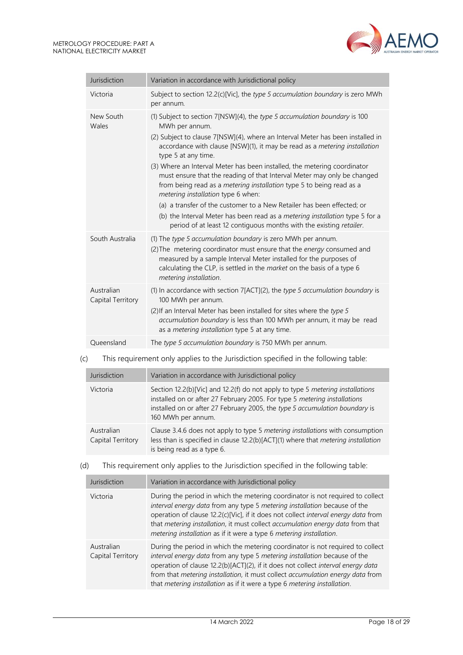

| Jurisdiction                    | Variation in accordance with Jurisdictional policy                                                                                                                                                                                                                                                                                                                                                                                                                                                                                                                                                                                                                                                                                                                                              |
|---------------------------------|-------------------------------------------------------------------------------------------------------------------------------------------------------------------------------------------------------------------------------------------------------------------------------------------------------------------------------------------------------------------------------------------------------------------------------------------------------------------------------------------------------------------------------------------------------------------------------------------------------------------------------------------------------------------------------------------------------------------------------------------------------------------------------------------------|
| Victoria                        | Subject to section 12.2(c)[Vic], the type 5 accumulation boundary is zero MWh<br>per annum.                                                                                                                                                                                                                                                                                                                                                                                                                                                                                                                                                                                                                                                                                                     |
| New South<br>Wales              | (1) Subject to section 7[NSW](4), the type 5 accumulation boundary is 100<br>MWh per annum.<br>(2) Subject to clause 7[NSW](4), where an Interval Meter has been installed in<br>accordance with clause [NSW](1), it may be read as a metering installation<br>type 5 at any time.<br>(3) Where an Interval Meter has been installed, the metering coordinator<br>must ensure that the reading of that Interval Meter may only be changed<br>from being read as a <i>metering installation</i> type 5 to being read as a<br>metering installation type 6 when:<br>(a) a transfer of the customer to a New Retailer has been effected; or<br>(b) the Interval Meter has been read as a metering installation type 5 for a<br>period of at least 12 contiguous months with the existing retailer. |
| South Australia                 | (1) The type 5 accumulation boundary is zero MWh per annum.<br>(2) The metering coordinator must ensure that the energy consumed and<br>measured by a sample Interval Meter installed for the purposes of<br>calculating the CLP, is settled in the market on the basis of a type 6<br>metering installation.                                                                                                                                                                                                                                                                                                                                                                                                                                                                                   |
| Australian<br>Capital Territory | (1) In accordance with section $7[ACT](2)$ , the type 5 accumulation boundary is<br>100 MWh per annum.<br>(2) If an Interval Meter has been installed for sites where the type 5<br>accumulation boundary is less than 100 MWh per annum, it may be read<br>as a <i>metering installation</i> type 5 at any time.                                                                                                                                                                                                                                                                                                                                                                                                                                                                               |
| Oueensland                      | The type 5 accumulation boundary is 750 MWh per annum.                                                                                                                                                                                                                                                                                                                                                                                                                                                                                                                                                                                                                                                                                                                                          |

# (c) This requirement only applies to the Jurisdiction specified in the following table:

| Jurisdiction                    | Variation in accordance with Jurisdictional policy                                                                                                                                                                                                               |
|---------------------------------|------------------------------------------------------------------------------------------------------------------------------------------------------------------------------------------------------------------------------------------------------------------|
| Victoria                        | Section 12.2(b)[Vic] and 12.2(f) do not apply to type 5 metering installations<br>installed on or after 27 February 2005. For type 5 metering installations<br>installed on or after 27 February 2005, the type 5 accumulation boundary is<br>160 MWh per annum. |
| Australian<br>Capital Territory | Clause 3.4.6 does not apply to type 5 metering installations with consumption<br>less than is specified in clause 12.2(b)[ACT](1) where that metering installation<br>is being read as a type 6.                                                                 |

#### (d) This requirement only applies to the Jurisdiction specified in the following table:

| Jurisdiction                    | Variation in accordance with Jurisdictional policy                                                                                                                                                                                                                                                                                                                                                            |  |
|---------------------------------|---------------------------------------------------------------------------------------------------------------------------------------------------------------------------------------------------------------------------------------------------------------------------------------------------------------------------------------------------------------------------------------------------------------|--|
| Victoria                        | During the period in which the metering coordinator is not required to collect<br>interval energy data from any type 5 metering installation because of the<br>operation of clause 12.2(c)[Vic], if it does not collect interval energy data from<br>that metering installation, it must collect accumulation energy data from that<br>metering installation as if it were a type 6 metering installation.    |  |
| Australian<br>Capital Territory | During the period in which the metering coordinator is not required to collect<br>interval energy data from any type 5 metering installation because of the<br>operation of clause 12.2(b)[ACT](2), if it does not collect interval energy data<br>from that metering installation, it must collect accumulation energy data from<br>that metering installation as if it were a type 6 metering installation. |  |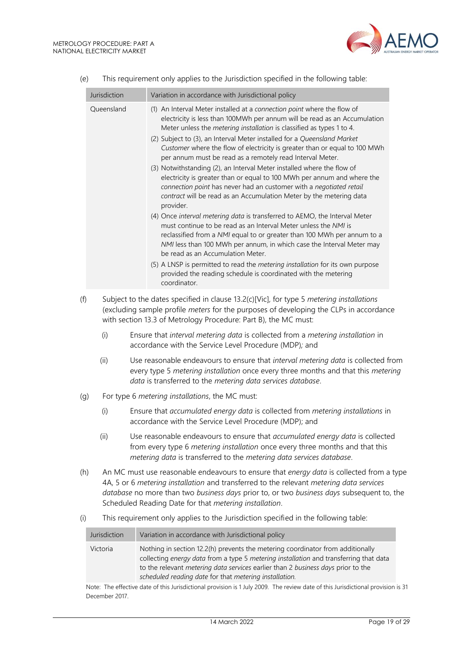

|     | Jurisdiction | Variation in accordance with Jurisdictional policy                                                                                                                                                                                                                                                                                                                                                                                                                                                                                                                                                                                                                                                                                                                                                                                                                                                                                                                                                                                                                                                                                                                                                                                                                               |
|-----|--------------|----------------------------------------------------------------------------------------------------------------------------------------------------------------------------------------------------------------------------------------------------------------------------------------------------------------------------------------------------------------------------------------------------------------------------------------------------------------------------------------------------------------------------------------------------------------------------------------------------------------------------------------------------------------------------------------------------------------------------------------------------------------------------------------------------------------------------------------------------------------------------------------------------------------------------------------------------------------------------------------------------------------------------------------------------------------------------------------------------------------------------------------------------------------------------------------------------------------------------------------------------------------------------------|
|     | Queensland   | (1) An Interval Meter installed at a connection point where the flow of<br>electricity is less than 100MWh per annum will be read as an Accumulation<br>Meter unless the metering installation is classified as types 1 to 4.<br>(2) Subject to (3), an Interval Meter installed for a Queensland Market<br>Customer where the flow of electricity is greater than or equal to 100 MWh<br>per annum must be read as a remotely read Interval Meter.<br>(3) Notwithstanding (2), an Interval Meter installed where the flow of<br>electricity is greater than or equal to 100 MWh per annum and where the<br>connection point has never had an customer with a negotiated retail<br>contract will be read as an Accumulation Meter by the metering data<br>provider.<br>(4) Once interval metering data is transferred to AEMO, the Interval Meter<br>must continue to be read as an Interval Meter unless the NMI is<br>reclassified from a NMI equal to or greater than 100 MWh per annum to a<br>NMI less than 100 MWh per annum, in which case the Interval Meter may<br>be read as an Accumulation Meter.<br>(5) A LNSP is permitted to read the metering installation for its own purpose<br>provided the reading schedule is coordinated with the metering<br>coordinator. |
| (f) |              | Subject to the dates specified in clause 13.2(c)[Vic], for type 5 metering installations<br>(excluding sample profile meters for the purposes of developing the CLPs in accordance<br>with section 13.3 of Metrology Procedure: Part B), the MC must:                                                                                                                                                                                                                                                                                                                                                                                                                                                                                                                                                                                                                                                                                                                                                                                                                                                                                                                                                                                                                            |
|     | (i)          | Ensure that interval metering data is collected from a metering installation in<br>accordance with the Service Level Procedure (MDP); and                                                                                                                                                                                                                                                                                                                                                                                                                                                                                                                                                                                                                                                                                                                                                                                                                                                                                                                                                                                                                                                                                                                                        |
|     | (ii)         | Use reasonable endeavours to ensure that interval metering data is collected from<br>every type 5 metering installation once every three months and that this metering<br>data is transferred to the metering data services database.                                                                                                                                                                                                                                                                                                                                                                                                                                                                                                                                                                                                                                                                                                                                                                                                                                                                                                                                                                                                                                            |
| (g) |              | For type 6 metering installations, the MC must:                                                                                                                                                                                                                                                                                                                                                                                                                                                                                                                                                                                                                                                                                                                                                                                                                                                                                                                                                                                                                                                                                                                                                                                                                                  |
|     | (i)          | Ensure that accumulated energy data is collected from metering installations in<br>accordance with the Service Level Procedure (MDP); and                                                                                                                                                                                                                                                                                                                                                                                                                                                                                                                                                                                                                                                                                                                                                                                                                                                                                                                                                                                                                                                                                                                                        |
|     | (ii)         | Use reasonable endeavours to ensure that accumulated energy data is collected<br>from every type 6 metering installation once every three months and that this<br>metering data is transferred to the metering data services database.                                                                                                                                                                                                                                                                                                                                                                                                                                                                                                                                                                                                                                                                                                                                                                                                                                                                                                                                                                                                                                           |
| (h) |              | An MC must use reasonable endeavours to ensure that energy data is collected from a type<br>4A, 5 or 6 metering installation and transferred to the relevant metering data services<br>database no more than two business days prior to, or two business days subsequent to, the<br>Scheduled Reading Date for that metering installation.                                                                                                                                                                                                                                                                                                                                                                                                                                                                                                                                                                                                                                                                                                                                                                                                                                                                                                                                       |

(e) This requirement only applies to the Jurisdiction specified in the following table:

(i) This requirement only applies to the Jurisdiction specified in the following table:

| Jurisdiction | Variation in accordance with Jurisdictional policy                                                                                                                                                                                                                                                                           |
|--------------|------------------------------------------------------------------------------------------------------------------------------------------------------------------------------------------------------------------------------------------------------------------------------------------------------------------------------|
| Victoria     | Nothing in section 12.2(h) prevents the metering coordinator from additionally<br>collecting energy data from a type 5 metering installation and transferring that data<br>to the relevant <i>metering data services</i> earlier than 2 business days prior to the<br>scheduled reading date for that metering installation. |

Note: The effective date of this Jurisdictional provision is 1 July 2009. The review date of this Jurisdictional provision is 31 December 2017.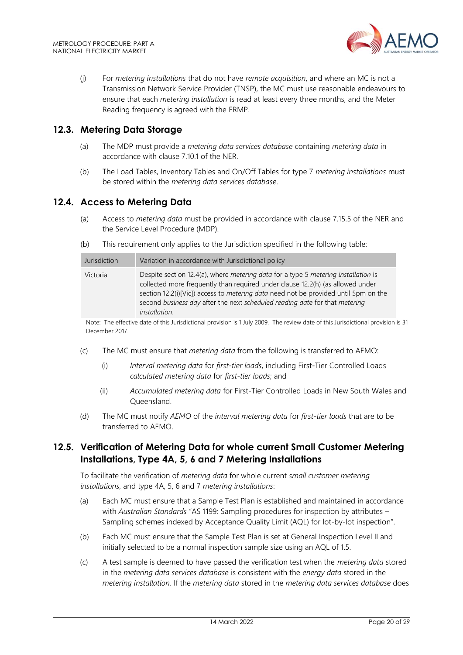

(j) For *metering installations* that do not have *remote acquisition*, and where an MC is not a Transmission Network Service Provider (TNSP), the MC must use reasonable endeavours to ensure that each *metering installation* is read at least every three months, and the Meter Reading frequency is agreed with the FRMP.

#### <span id="page-19-0"></span>**12.3. Metering Data Storage**

- (a) The MDP must provide a *metering data services database* containing *metering data* in accordance with clause 7.10.1 of the NER.
- (b) The Load Tables, Inventory Tables and On/Off Tables for type 7 *metering installations* must be stored within the *metering data services database*.

#### <span id="page-19-1"></span>**12.4. Access to Metering Data**

- (a) Access to *metering data* must be provided in accordance with clause 7.15.5 of the NER and the Service Level Procedure (MDP).
- (b) This requirement only applies to the Jurisdiction specified in the following table:

| Jurisdiction | Variation in accordance with Jurisdictional policy                                                                                                                                                                                                                                                                                                                 |
|--------------|--------------------------------------------------------------------------------------------------------------------------------------------------------------------------------------------------------------------------------------------------------------------------------------------------------------------------------------------------------------------|
| Victoria     | Despite section 12.4(a), where metering data for a type 5 metering installation is<br>collected more frequently than required under clause 12.2(h) (as allowed under<br>section 12.2(i)[Vic]) access to metering data need not be provided until 5pm on the<br>second business day after the next scheduled reading date for that metering<br><i>installation.</i> |

Note: The effective date of this Jurisdictional provision is 1 July 2009. The review date of this Jurisdictional provision is 31 December 2017.

- (c) The MC must ensure that *metering data* from the following is transferred to AEMO:
	- (i) *Interval metering data* for *first-tier loads*, including First-Tier Controlled Loads *calculated metering data* for *first-tier loads*; and
	- (ii) *Accumulated metering data* for First-Tier Controlled Loads in New South Wales and Queensland.
- (d) The MC must notify *AEMO* of the *interval metering data* for *first-tier loads* that are to be transferred to AEMO.

# <span id="page-19-2"></span>**12.5. Verification of Metering Data for whole current Small Customer Metering Installations, Type 4A, 5, 6 and 7 Metering Installations**

To facilitate the verification of *metering data* for whole current *small customer metering installations*, and type 4A, 5, 6 and 7 *metering installations*:

- (a) Each MC must ensure that a Sample Test Plan is established and maintained in accordance with *Australian Standards* "AS 1199: Sampling procedures for inspection by attributes – Sampling schemes indexed by Acceptance Quality Limit (AQL) for lot-by-lot inspection".
- (b) Each MC must ensure that the Sample Test Plan is set at General Inspection Level II and initially selected to be a normal inspection sample size using an AQL of 1.5.
- (c) A test sample is deemed to have passed the verification test when the *metering data* stored in the *metering data services database* is consistent with the *energy data* stored in the *metering installation*. If the *metering data* stored in the *metering data services database* does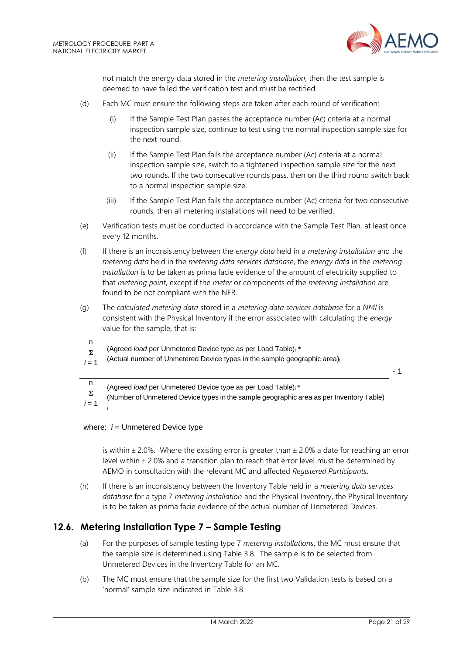

not match the energy data stored in the *metering installation*, then the test sample is deemed to have failed the verification test and must be rectified.

- (d) Each MC must ensure the following steps are taken after each round of verification:
	- (i) If the Sample Test Plan passes the acceptance number (Ac) criteria at a normal inspection sample size, continue to test using the normal inspection sample size for the next round.
	- (ii) If the Sample Test Plan fails the acceptance number (Ac) criteria at a normal inspection sample size, switch to a tightened inspection sample size for the next two rounds. If the two consecutive rounds pass, then on the third round switch back to a normal inspection sample size.
	- (iii) If the Sample Test Plan fails the acceptance number (Ac) criteria for two consecutive rounds, then all metering installations will need to be verified.
- (e) Verification tests must be conducted in accordance with the Sample Test Plan, at least once every 12 months.
- (f) If there is an inconsistency between the *energy data* held in a *metering installation* and the *metering data* held in the *metering data services database*, the *energy data* in the *metering installation* is to be taken as prima facie evidence of the amount of electricity supplied to that *metering point*, except if the *meter* or components of the *metering installation* are found to be not compliant with the NER.
- (g) The *calculated metering data* stored in a *metering data services database* for a *NMI* is consistent with the Physical Inventory if the error associated with calculating the *energy* value for the sample, that is:
	- n  $\Sigma$ (Agreed *load* per Unmetered Device type as per Load Table)<sup>i</sup> \*
- $i = 1$ (Actual number of Unmetered Device types in the sample geographic area)<sup>i</sup>

- 1

- n (Agreed *load* per Unmetered Device type as per Load Table)i \*
- $\Sigma$ (Number of Unmetered Device types in the sample geographic area as per Inventory Table)

 $i = 1$ i

#### where:  $i =$  Unmetered Device type

is within  $\pm$  2.0%. Where the existing error is greater than  $\pm$  2.0% a date for reaching an error level within  $\pm$  2.0% and a transition plan to reach that error level must be determined by AEMO in consultation with the relevant MC and affected *Registered Participants*.

(h) If there is an inconsistency between the Inventory Table held in a *metering data services database* for a type 7 *metering installation* and the Physical Inventory, the Physical Inventory is to be taken as prima facie evidence of the actual number of Unmetered Devices.

# <span id="page-20-0"></span>**12.6. Metering Installation Type 7 – Sample Testing**

- (a) For the purposes of sample testing type 7 *metering installations*, the MC must ensure that the sample size is determined using Table 3.8. The sample is to be selected from Unmetered Devices in the Inventory Table for an MC.
- (b) The MC must ensure that the sample size for the first two Validation tests is based on a 'normal' sample size indicated in Table 3.8.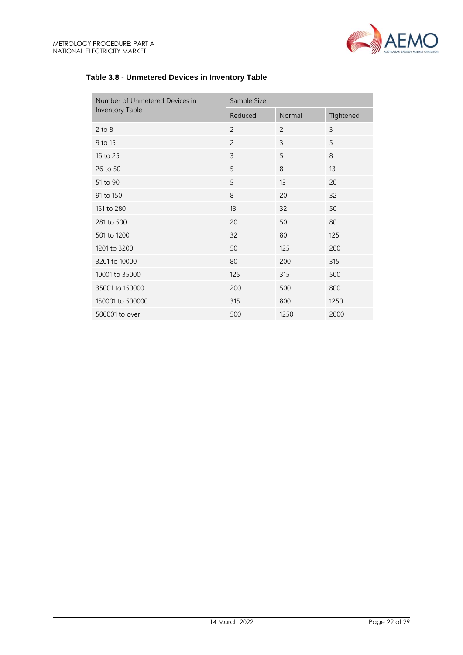

| Number of Unmetered Devices in | Sample Size    |                |           |
|--------------------------------|----------------|----------------|-----------|
| Inventory Table                | Reduced        | Normal         | Tightened |
| $2$ to $8$                     | $\overline{c}$ | $\overline{2}$ | 3         |
| 9 to 15                        | $\overline{c}$ | 3              | 5         |
| 16 to 25                       | 3              | 5              | 8         |
| 26 to 50                       | 5              | 8              | 13        |
| 51 to 90                       | 5              | 13             | 20        |
| 91 to 150                      | 8              | 20             | 32        |
| 151 to 280                     | 13             | 32             | 50        |
| 281 to 500                     | 20             | 50             | 80        |
| 501 to 1200                    | 32             | 80             | 125       |
| 1201 to 3200                   | 50             | 125            | 200       |
| 3201 to 10000                  | 80             | 200            | 315       |
| 10001 to 35000                 | 125            | 315            | 500       |
| 35001 to 150000                | 200            | 500            | 800       |
| 150001 to 500000               | 315            | 800            | 1250      |
| 500001 to over                 | 500            | 1250           | 2000      |

# **Table 3.8** - **Unmetered Devices in Inventory Table**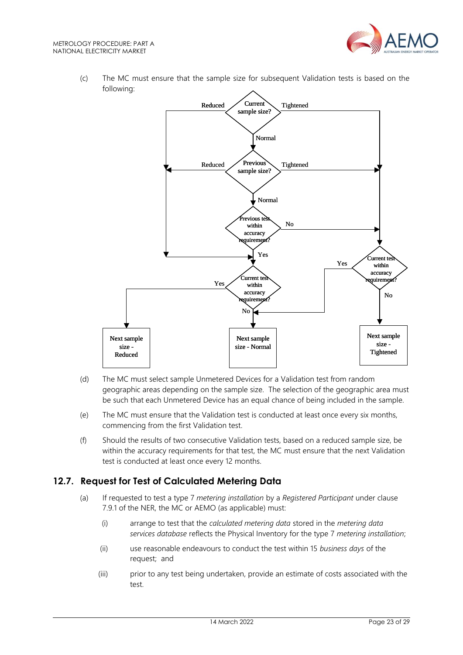

(c) The MC must ensure that the sample size for subsequent Validation tests is based on the following:



- (d) The MC must select sample Unmetered Devices for a Validation test from random geographic areas depending on the sample size. The selection of the geographic area must be such that each Unmetered Device has an equal chance of being included in the sample.
- (e) The MC must ensure that the Validation test is conducted at least once every six months, commencing from the first Validation test.
- (f) Should the results of two consecutive Validation tests, based on a reduced sample size, be within the accuracy requirements for that test, the MC must ensure that the next Validation test is conducted at least once every 12 months.

# <span id="page-22-0"></span>**12.7. Request for Test of Calculated Metering Data**

- (a) If requested to test a type 7 *metering installation* by a *Registered Participant* under clause 7.9.1 of the NER, the MC or AEMO (as applicable) must:
	- (i) arrange to test that the *calculated metering data* stored in the *metering data services database* reflects the Physical Inventory for the type 7 *metering installation*;
	- (ii) use reasonable endeavours to conduct the test within 15 *business days* of the request; and
	- (iii) prior to any test being undertaken, provide an estimate of costs associated with the test.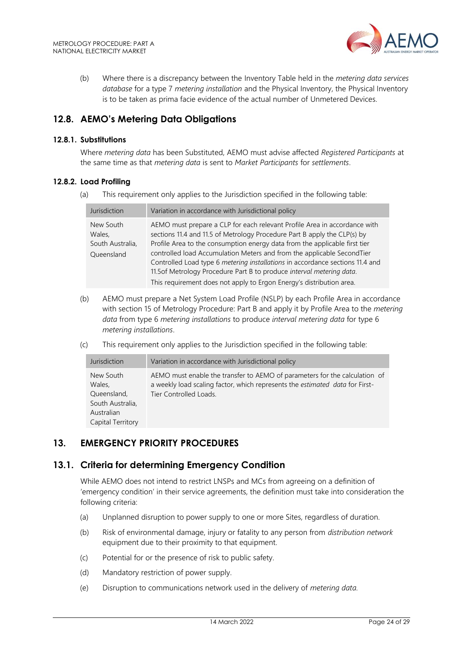

(b) Where there is a discrepancy between the Inventory Table held in the *metering data services database* for a type 7 *metering installation* and the Physical Inventory, the Physical Inventory is to be taken as prima facie evidence of the actual number of Unmetered Devices.

# <span id="page-23-0"></span>**12.8. AEMO's Metering Data Obligations**

#### **12.8.1. Substitutions**

Where *metering data* has been Substituted, AEMO must advise affected *Registered Participants* at the same time as that *metering data* is sent to *Market Participants* for *settlements*.

#### **12.8.2. Load Profiling**

(a) This requirement only applies to the Jurisdiction specified in the following table:

| Jurisdiction                                          | Variation in accordance with Jurisdictional policy                                                                                                                                                                                                                                                                                                                                                                                                                                                                                             |
|-------------------------------------------------------|------------------------------------------------------------------------------------------------------------------------------------------------------------------------------------------------------------------------------------------------------------------------------------------------------------------------------------------------------------------------------------------------------------------------------------------------------------------------------------------------------------------------------------------------|
| New South<br>Wales,<br>South Australia,<br>Queensland | AEMO must prepare a CLP for each relevant Profile Area in accordance with<br>sections 11.4 and 11.5 of Metrology Procedure Part B apply the CLP(s) by<br>Profile Area to the consumption energy data from the applicable first tier<br>controlled load Accumulation Meters and from the applicable SecondTier<br>Controlled Load type 6 metering installations in accordance sections 11.4 and<br>11.5of Metrology Procedure Part B to produce interval metering data.<br>This requirement does not apply to Ergon Energy's distribution area. |

- (b) AEMO must prepare a Net System Load Profile (NSLP) by each Profile Area in accordance with section 15 of Metrology Procedure: Part B and apply it by Profile Area to the *metering data* from type 6 *metering installations* to produce *interval metering data* for type 6 *metering installations*.
- (c) This requirement only applies to the Jurisdiction specified in the following table:

| Jurisdiction                                                                              | Variation in accordance with Jurisdictional policy                                                                                                                                   |
|-------------------------------------------------------------------------------------------|--------------------------------------------------------------------------------------------------------------------------------------------------------------------------------------|
| New South<br>Wales.<br>Queensland,<br>South Australia,<br>Australian<br>Capital Territory | AEMO must enable the transfer to AEMO of parameters for the calculation of<br>a weekly load scaling factor, which represents the estimated data for First-<br>Tier Controlled Loads. |

# <span id="page-23-1"></span>**13. EMERGENCY PRIORITY PROCEDURES**

#### <span id="page-23-2"></span>**13.1. Criteria for determining Emergency Condition**

While AEMO does not intend to restrict LNSPs and MCs from agreeing on a definition of 'emergency condition' in their service agreements, the definition must take into consideration the following criteria:

- (a) Unplanned disruption to power supply to one or more Sites, regardless of duration.
- (b) Risk of environmental damage, injury or fatality to any person from *distribution network* equipment due to their proximity to that equipment.
- (c) Potential for or the presence of risk to public safety.
- (d) Mandatory restriction of power supply.
- (e) Disruption to communications network used in the delivery of *metering data.*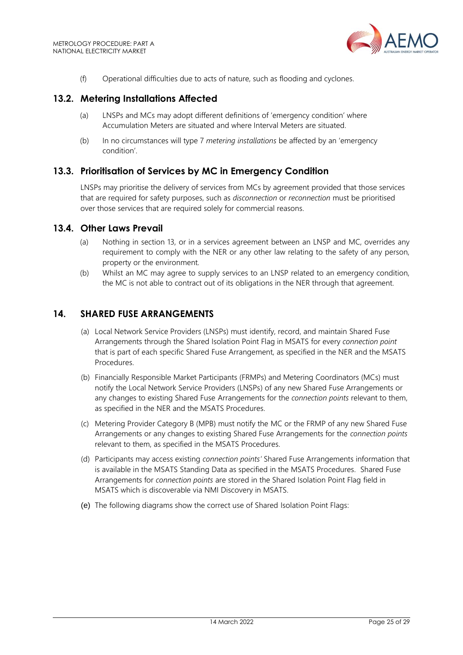

(f) Operational difficulties due to acts of nature, such as flooding and cyclones.

#### <span id="page-24-0"></span>**13.2. Metering Installations Affected**

- (a) LNSPs and MCs may adopt different definitions of 'emergency condition' where Accumulation Meters are situated and where Interval Meters are situated.
- (b) In no circumstances will type 7 *metering installations* be affected by an 'emergency condition'.

#### <span id="page-24-1"></span>**13.3. Prioritisation of Services by MC in Emergency Condition**

LNSPs may prioritise the delivery of services from MCs by agreement provided that those services that are required for safety purposes, such as *disconnection* or *reconnection* must be prioritised over those services that are required solely for commercial reasons.

#### <span id="page-24-2"></span>**13.4. Other Laws Prevail**

- (a) Nothing in section 13, or in a services agreement between an LNSP and MC, overrides any requirement to comply with the NER or any other law relating to the safety of any person, property or the environment.
- (b) Whilst an MC may agree to supply services to an LNSP related to an emergency condition, the MC is not able to contract out of its obligations in the NER through that agreement.

#### <span id="page-24-3"></span>**14. SHARED FUSE ARRANGEMENTS**

- (a) Local Network Service Providers (LNSPs) must identify, record, and maintain Shared Fuse Arrangements through the Shared Isolation Point Flag in MSATS for every *connection point* that is part of each specific Shared Fuse Arrangement, as specified in the NER and the MSATS Procedures.
- (b) Financially Responsible Market Participants (FRMPs) and Metering Coordinators (MCs) must notify the Local Network Service Providers (LNSPs) of any new Shared Fuse Arrangements or any changes to existing Shared Fuse Arrangements for the *connection points* relevant to them, as specified in the NER and the MSATS Procedures.
- (c) Metering Provider Category B (MPB) must notify the MC or the FRMP of any new Shared Fuse Arrangements or any changes to existing Shared Fuse Arrangements for the *connection points*  relevant to them, as specified in the MSATS Procedures.
- (d) Participants may access existing *connection points'* Shared Fuse Arrangements information that is available in the MSATS Standing Data as specified in the MSATS Procedures. Shared Fuse Arrangements for *connection points* are stored in the Shared Isolation Point Flag field in MSATS which is discoverable via NMI Discovery in MSATS.
- (e) The following diagrams show the correct use of Shared Isolation Point Flags: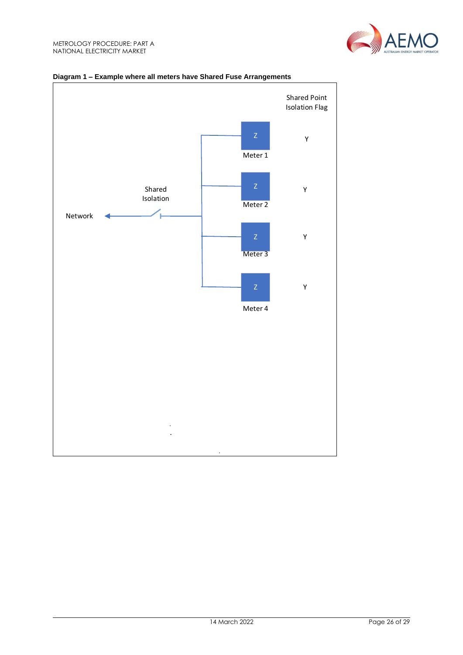



#### **Diagram 1 – Example where all meters have Shared Fuse Arrangements**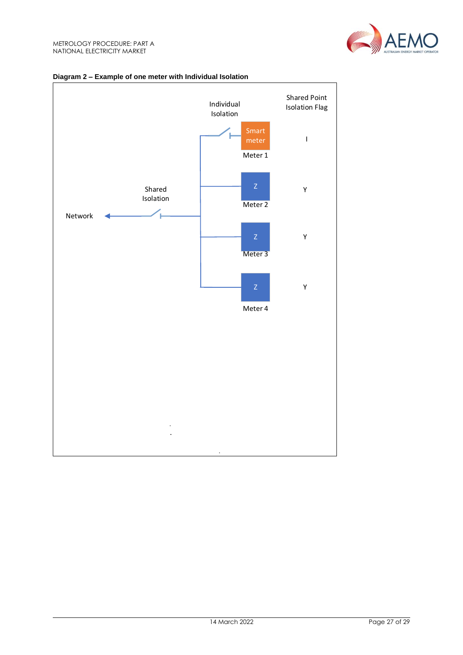



#### **Diagram 2 – Example of one meter with Individual Isolation**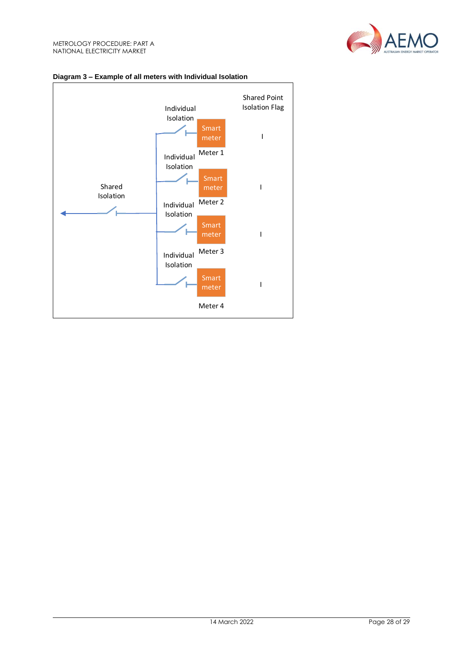



# **Diagram 3 – Example of all meters with Individual Isolation**